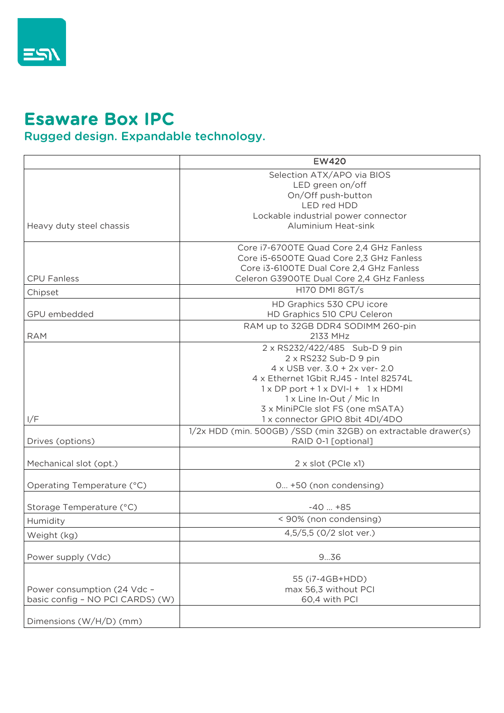

## Esaware Box IPC

## Rugged design. Expandable technology.

|                                                                 | <b>EW420</b>                                                                                                                                                                                                                                                                                          |
|-----------------------------------------------------------------|-------------------------------------------------------------------------------------------------------------------------------------------------------------------------------------------------------------------------------------------------------------------------------------------------------|
| Heavy duty steel chassis                                        | Selection ATX/APO via BIOS<br>LED green on/off<br>On/Off push-button<br>LED red HDD<br>Lockable industrial power connector<br><b>Aluminium Heat-sink</b>                                                                                                                                              |
| <b>CPU Fanless</b>                                              | Core i7-6700TE Quad Core 2,4 GHz Fanless<br>Core i5-6500TE Quad Core 2,3 GHz Fanless<br>Core i3-6100TE Dual Core 2,4 GHz Fanless<br>Celeron G3900TE Dual Core 2,4 GHz Fanless                                                                                                                         |
| Chipset                                                         | H170 DMI 8GT/s                                                                                                                                                                                                                                                                                        |
| GPU embedded                                                    | HD Graphics 530 CPU icore<br>HD Graphics 510 CPU Celeron                                                                                                                                                                                                                                              |
| <b>RAM</b>                                                      | RAM up to 32GB DDR4 SODIMM 260-pin<br>2133 MHz                                                                                                                                                                                                                                                        |
| I/F                                                             | 2 x RS232/422/485 Sub-D 9 pin<br>$2 \times$ RS232 Sub-D 9 pin<br>4 x USB ver. 3.0 + 2x ver- 2.0<br>4 x Ethernet 1Gbit RJ45 - Intel 82574L<br>$1 \times DP$ port + $1 \times DVI-I + 1 \times HDMI$<br>1 x Line In-Out / Mic In<br>3 x MiniPCle slot FS (one mSATA)<br>1 x connector GPIO 8bit 4DI/4DO |
| Drives (options)                                                | 1/2x HDD (min. 500GB) / SSD (min 32GB) on extractable drawer(s)<br>RAID 0-1 [optional]                                                                                                                                                                                                                |
| Mechanical slot (opt.)                                          | 2 x slot (PCle x1)                                                                                                                                                                                                                                                                                    |
| Operating Temperature (°C)                                      | 0 +50 (non condensing)                                                                                                                                                                                                                                                                                |
| Storage Temperature (°C)                                        | $-40$ $+85$                                                                                                                                                                                                                                                                                           |
| Humidity                                                        | < 90% (non condensing)                                                                                                                                                                                                                                                                                |
| Weight (kg)                                                     | 4,5/5,5 (0/2 slot ver.)                                                                                                                                                                                                                                                                               |
| Power supply (Vdc)                                              | 936                                                                                                                                                                                                                                                                                                   |
| Power consumption (24 Vdc -<br>basic config - NO PCI CARDS) (W) | 55 (i7-4GB+HDD)<br>max 56,3 without PCI<br>60,4 with PCI                                                                                                                                                                                                                                              |
| Dimensions (W/H/D) (mm)                                         |                                                                                                                                                                                                                                                                                                       |